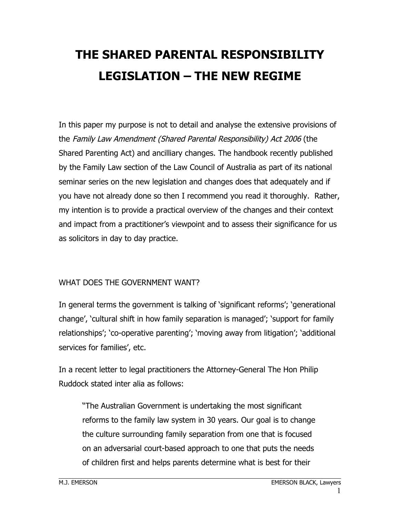# **THE SHARED PARENTAL RESPONSIBILITY LEGISLATION – THE NEW REGIME**

In this paper my purpose is not to detail and analyse the extensive provisions of the Family Law Amendment (Shared Parental Responsibility) Act 2006 (the Shared Parenting Act) and ancilliary changes. The handbook recently published by the Family Law section of the Law Council of Australia as part of its national seminar series on the new legislation and changes does that adequately and if you have not already done so then I recommend you read it thoroughly. Rather, my intention is to provide a practical overview of the changes and their context and impact from a practitioner's viewpoint and to assess their significance for us as solicitors in day to day practice.

#### WHAT DOES THE GOVERNMENT WANT?

In general terms the government is talking of 'significant reforms'; 'generational change', 'cultural shift in how family separation is managed'; 'support for family relationships'; 'co-operative parenting'; 'moving away from litigation'; 'additional services for families', etc.

In a recent letter to legal practitioners the Attorney-General The Hon Philip Ruddock stated inter alia as follows:

"The Australian Government is undertaking the most significant reforms to the family law system in 30 years. Our goal is to change the culture surrounding family separation from one that is focused on an adversarial court-based approach to one that puts the needs of children first and helps parents determine what is best for their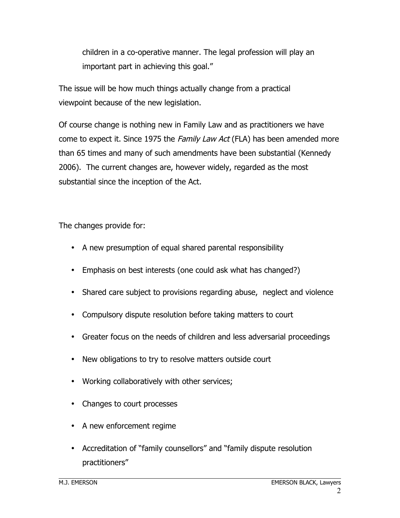children in a co-operative manner. The legal profession will play an important part in achieving this goal."

The issue will be how much things actually change from a practical viewpoint because of the new legislation.

Of course change is nothing new in Family Law and as practitioners we have come to expect it. Since 1975 the Family Law Act (FLA) has been amended more than 65 times and many of such amendments have been substantial (Kennedy 2006). The current changes are, however widely, regarded as the most substantial since the inception of the Act.

The changes provide for:

- A new presumption of equal shared parental responsibility
- Emphasis on best interests (one could ask what has changed?)
- Shared care subject to provisions regarding abuse, neglect and violence
- Compulsory dispute resolution before taking matters to court
- Greater focus on the needs of children and less adversarial proceedings
- New obligations to try to resolve matters outside court
- Working collaboratively with other services;
- Changes to court processes
- A new enforcement regime
- Accreditation of "family counsellors" and "family dispute resolution practitioners"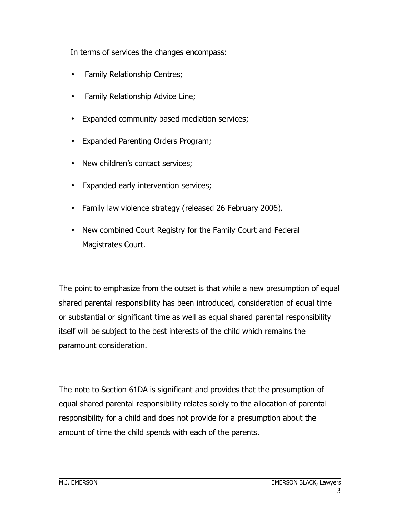In terms of services the changes encompass:

- Family Relationship Centres;
- Family Relationship Advice Line;
- Expanded community based mediation services;
- Expanded Parenting Orders Program;
- New children's contact services;
- Expanded early intervention services;
- Family law violence strategy (released 26 February 2006).
- New combined Court Registry for the Family Court and Federal Magistrates Court.

The point to emphasize from the outset is that while a new presumption of equal shared parental responsibility has been introduced, consideration of equal time or substantial or significant time as well as equal shared parental responsibility itself will be subject to the best interests of the child which remains the paramount consideration.

The note to Section 61DA is significant and provides that the presumption of equal shared parental responsibility relates solely to the allocation of parental responsibility for a child and does not provide for a presumption about the amount of time the child spends with each of the parents.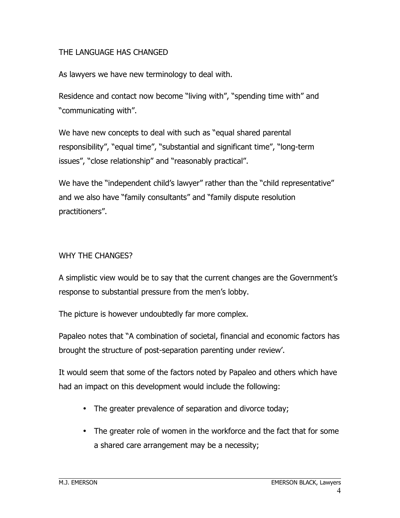#### THE LANGUAGE HAS CHANGED

As lawyers we have new terminology to deal with.

Residence and contact now become "living with", "spending time with" and "communicating with".

We have new concepts to deal with such as "equal shared parental responsibility", "equal time", "substantial and significant time", "long-term issues", "close relationship" and "reasonably practical".

We have the "independent child's lawyer" rather than the "child representative" and we also have "family consultants" and "family dispute resolution practitioners".

#### WHY THE CHANGES?

A simplistic view would be to say that the current changes are the Government's response to substantial pressure from the men's lobby.

The picture is however undoubtedly far more complex.

Papaleo notes that "A combination of societal, financial and economic factors has brought the structure of post-separation parenting under review'.

It would seem that some of the factors noted by Papaleo and others which have had an impact on this development would include the following:

- The greater prevalence of separation and divorce today;
- The greater role of women in the workforce and the fact that for some a shared care arrangement may be a necessity;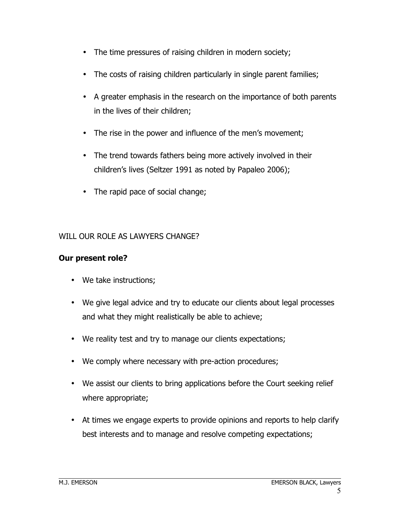- The time pressures of raising children in modern society;
- The costs of raising children particularly in single parent families;
- A greater emphasis in the research on the importance of both parents in the lives of their children;
- The rise in the power and influence of the men's movement;
- The trend towards fathers being more actively involved in their children's lives (Seltzer 1991 as noted by Papaleo 2006);
- The rapid pace of social change;

#### WILL OUR ROLE AS LAWYERS CHANGE?

## **Our present role?**

- We take instructions;
- We give legal advice and try to educate our clients about legal processes and what they might realistically be able to achieve;
- We reality test and try to manage our clients expectations;
- We comply where necessary with pre-action procedures;
- We assist our clients to bring applications before the Court seeking relief where appropriate;
- At times we engage experts to provide opinions and reports to help clarify best interests and to manage and resolve competing expectations;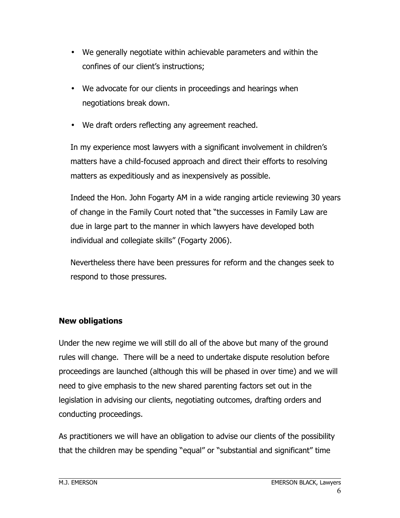- We generally negotiate within achievable parameters and within the confines of our client's instructions;
- We advocate for our clients in proceedings and hearings when negotiations break down.
- We draft orders reflecting any agreement reached.

In my experience most lawyers with a significant involvement in children's matters have a child-focused approach and direct their efforts to resolving matters as expeditiously and as inexpensively as possible.

Indeed the Hon. John Fogarty AM in a wide ranging article reviewing 30 years of change in the Family Court noted that "the successes in Family Law are due in large part to the manner in which lawyers have developed both individual and collegiate skills" (Fogarty 2006).

Nevertheless there have been pressures for reform and the changes seek to respond to those pressures.

# **New obligations**

Under the new regime we will still do all of the above but many of the ground rules will change. There will be a need to undertake dispute resolution before proceedings are launched (although this will be phased in over time) and we will need to give emphasis to the new shared parenting factors set out in the legislation in advising our clients, negotiating outcomes, drafting orders and conducting proceedings.

As practitioners we will have an obligation to advise our clients of the possibility that the children may be spending "equal" or "substantial and significant" time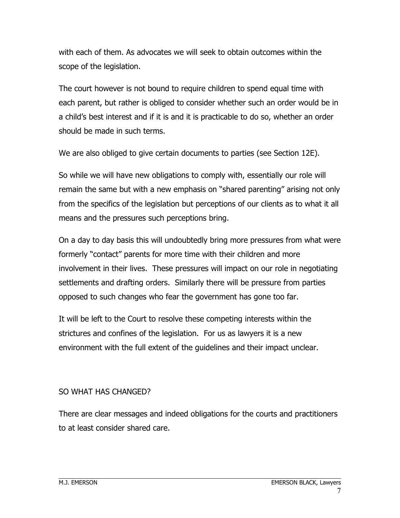with each of them. As advocates we will seek to obtain outcomes within the scope of the legislation.

The court however is not bound to require children to spend equal time with each parent, but rather is obliged to consider whether such an order would be in a child's best interest and if it is and it is practicable to do so, whether an order should be made in such terms.

We are also obliged to give certain documents to parties (see Section 12E).

So while we will have new obligations to comply with, essentially our role will remain the same but with a new emphasis on "shared parenting" arising not only from the specifics of the legislation but perceptions of our clients as to what it all means and the pressures such perceptions bring.

On a day to day basis this will undoubtedly bring more pressures from what were formerly "contact" parents for more time with their children and more involvement in their lives. These pressures will impact on our role in negotiating settlements and drafting orders. Similarly there will be pressure from parties opposed to such changes who fear the government has gone too far.

It will be left to the Court to resolve these competing interests within the strictures and confines of the legislation. For us as lawyers it is a new environment with the full extent of the guidelines and their impact unclear.

# SO WHAT HAS CHANGED?

There are clear messages and indeed obligations for the courts and practitioners to at least consider shared care.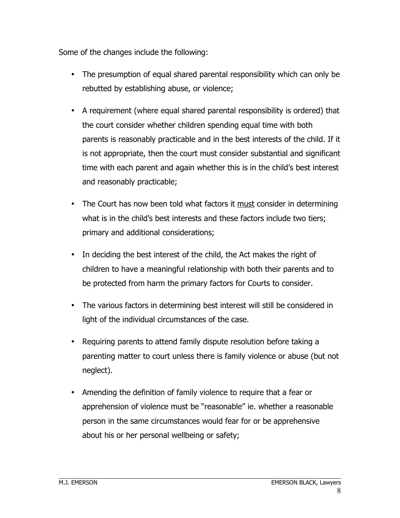Some of the changes include the following:

- The presumption of equal shared parental responsibility which can only be rebutted by establishing abuse, or violence;
- A requirement (where equal shared parental responsibility is ordered) that the court consider whether children spending equal time with both parents is reasonably practicable and in the best interests of the child. If it is not appropriate, then the court must consider substantial and significant time with each parent and again whether this is in the child's best interest and reasonably practicable;
- The Court has now been told what factors it <u>must</u> consider in determining what is in the child's best interests and these factors include two tiers; primary and additional considerations;
- In deciding the best interest of the child, the Act makes the right of children to have a meaningful relationship with both their parents and to be protected from harm the primary factors for Courts to consider.
- The various factors in determining best interest will still be considered in light of the individual circumstances of the case.
- Requiring parents to attend family dispute resolution before taking a parenting matter to court unless there is family violence or abuse (but not neglect).
- Amending the definition of family violence to require that a fear or apprehension of violence must be "reasonable" ie. whether a reasonable person in the same circumstances would fear for or be apprehensive about his or her personal wellbeing or safety;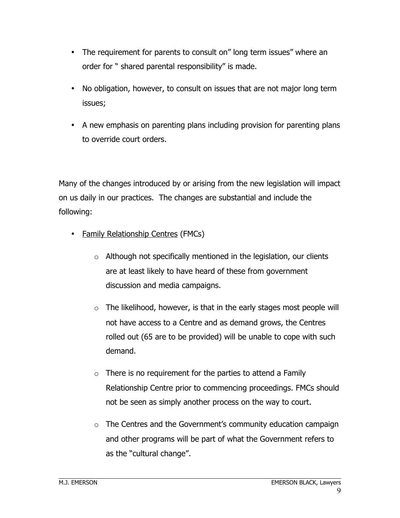- The requirement for parents to consult on" long term issues" where an order for " shared parental responsibility" is made.
- No obligation, however, to consult on issues that are not major long term issues;
- A new emphasis on parenting plans including provision for parenting plans to override court orders.

Many of the changes introduced by or arising from the new legislation will impact on us daily in our practices. The changes are substantial and include the following:

- Family Relationship Centres (FMCs)
	- $\circ$  Although not specifically mentioned in the legislation, our clients are at least likely to have heard of these from government discussion and media campaigns.
	- $\circ$  The likelihood, however, is that in the early stages most people will not have access to a Centre and as demand grows, the Centres rolled out (65 are to be provided) will be unable to cope with such demand.
	- $\circ$  There is no requirement for the parties to attend a Family Relationship Centre prior to commencing proceedings. FMCs should not be seen as simply another process on the way to court.
	- o The Centres and the Government's community education campaign and other programs will be part of what the Government refers to as the "cultural change".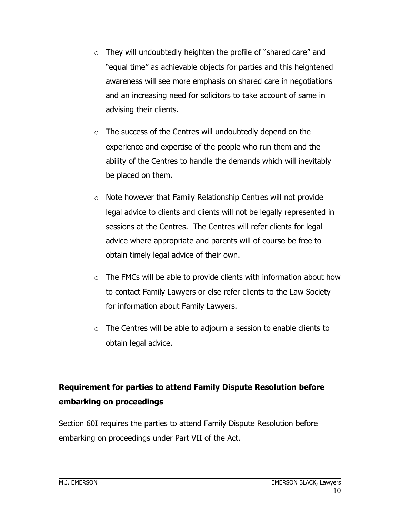- $\circ$  They will undoubtedly heighten the profile of "shared care" and "equal time" as achievable objects for parties and this heightened awareness will see more emphasis on shared care in negotiations and an increasing need for solicitors to take account of same in advising their clients.
- o The success of the Centres will undoubtedly depend on the experience and expertise of the people who run them and the ability of the Centres to handle the demands which will inevitably be placed on them.
- o Note however that Family Relationship Centres will not provide legal advice to clients and clients will not be legally represented in sessions at the Centres. The Centres will refer clients for legal advice where appropriate and parents will of course be free to obtain timely legal advice of their own.
- $\circ$  The FMCs will be able to provide clients with information about how to contact Family Lawyers or else refer clients to the Law Society for information about Family Lawyers.
- $\circ$  The Centres will be able to adjourn a session to enable clients to obtain legal advice.

# **Requirement for parties to attend Family Dispute Resolution before embarking on proceedings**

Section 60I requires the parties to attend Family Dispute Resolution before embarking on proceedings under Part VII of the Act.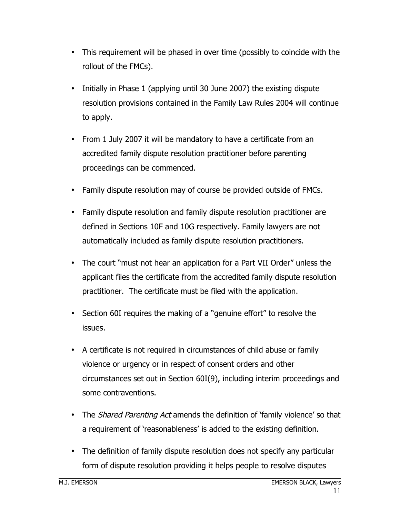- This requirement will be phased in over time (possibly to coincide with the rollout of the FMCs).
- Initially in Phase 1 (applying until 30 June 2007) the existing dispute resolution provisions contained in the Family Law Rules 2004 will continue to apply.
- From 1 July 2007 it will be mandatory to have a certificate from an accredited family dispute resolution practitioner before parenting proceedings can be commenced.
- Family dispute resolution may of course be provided outside of FMCs.
- Family dispute resolution and family dispute resolution practitioner are defined in Sections 10F and 10G respectively. Family lawyers are not automatically included as family dispute resolution practitioners.
- The court "must not hear an application for a Part VII Order" unless the applicant files the certificate from the accredited family dispute resolution practitioner. The certificate must be filed with the application.
- Section 60I requires the making of a "genuine effort" to resolve the issues.
- A certificate is not required in circumstances of child abuse or family violence or urgency or in respect of consent orders and other circumstances set out in Section 60I(9), including interim proceedings and some contraventions.
- The Shared Parenting Act amends the definition of 'family violence' so that a requirement of 'reasonableness' is added to the existing definition.
- The definition of family dispute resolution does not specify any particular form of dispute resolution providing it helps people to resolve disputes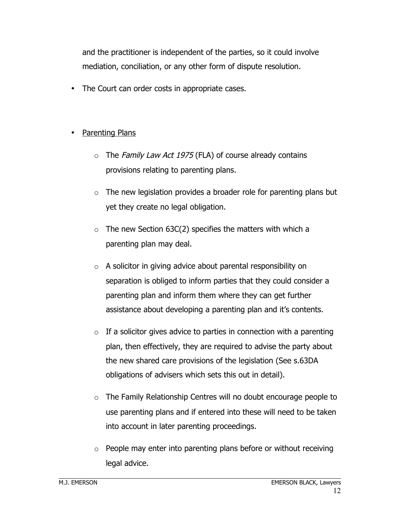and the practitioner is independent of the parties, so it could involve mediation, conciliation, or any other form of dispute resolution.

• The Court can order costs in appropriate cases.

### **Parenting Plans**

- $\circ$  The Family Law Act 1975 (FLA) of course already contains provisions relating to parenting plans.
- $\circ$  The new legislation provides a broader role for parenting plans but yet they create no legal obligation.
- $\circ$  The new Section 63C(2) specifies the matters with which a parenting plan may deal.
- $\circ$  A solicitor in giving advice about parental responsibility on separation is obliged to inform parties that they could consider a parenting plan and inform them where they can get further assistance about developing a parenting plan and it's contents.
- $\circ$  If a solicitor gives advice to parties in connection with a parenting plan, then effectively, they are required to advise the party about the new shared care provisions of the legislation (See s.63DA obligations of advisers which sets this out in detail).
- o The Family Relationship Centres will no doubt encourage people to use parenting plans and if entered into these will need to be taken into account in later parenting proceedings.
- $\circ$  People may enter into parenting plans before or without receiving legal advice.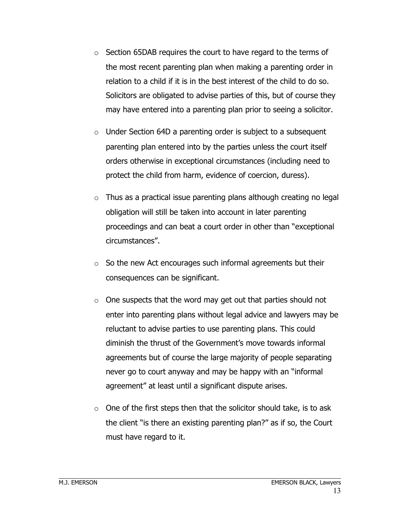- $\circ$  Section 65DAB requires the court to have regard to the terms of the most recent parenting plan when making a parenting order in relation to a child if it is in the best interest of the child to do so. Solicitors are obligated to advise parties of this, but of course they may have entered into a parenting plan prior to seeing a solicitor.
- $\circ$  Under Section 64D a parenting order is subject to a subsequent parenting plan entered into by the parties unless the court itself orders otherwise in exceptional circumstances (including need to protect the child from harm, evidence of coercion, duress).
- $\circ$  Thus as a practical issue parenting plans although creating no legal obligation will still be taken into account in later parenting proceedings and can beat a court order in other than "exceptional circumstances".
- $\circ$  So the new Act encourages such informal agreements but their consequences can be significant.
- $\circ$  One suspects that the word may get out that parties should not enter into parenting plans without legal advice and lawyers may be reluctant to advise parties to use parenting plans. This could diminish the thrust of the Government's move towards informal agreements but of course the large majority of people separating never go to court anyway and may be happy with an "informal agreement" at least until a significant dispute arises.
- $\circ$  One of the first steps then that the solicitor should take, is to ask the client "is there an existing parenting plan?" as if so, the Court must have regard to it.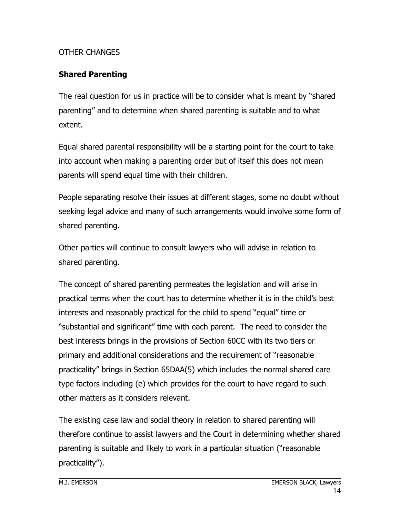#### OTHER CHANGES

## **Shared Parenting**

The real question for us in practice will be to consider what is meant by "shared parenting" and to determine when shared parenting is suitable and to what extent.

Equal shared parental responsibility will be a starting point for the court to take into account when making a parenting order but of itself this does not mean parents will spend equal time with their children.

People separating resolve their issues at different stages, some no doubt without seeking legal advice and many of such arrangements would involve some form of shared parenting.

Other parties will continue to consult lawyers who will advise in relation to shared parenting.

The concept of shared parenting permeates the legislation and will arise in practical terms when the court has to determine whether it is in the child's best interests and reasonably practical for the child to spend "equal" time or "substantial and significant" time with each parent. The need to consider the best interests brings in the provisions of Section 60CC with its two tiers or primary and additional considerations and the requirement of "reasonable practicality" brings in Section 65DAA(5) which includes the normal shared care type factors including (e) which provides for the court to have regard to such other matters as it considers relevant.

The existing case law and social theory in relation to shared parenting will therefore continue to assist lawyers and the Court in determining whether shared parenting is suitable and likely to work in a particular situation ("reasonable practicality").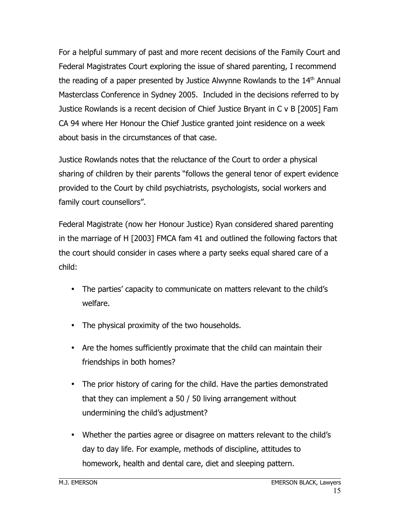For a helpful summary of past and more recent decisions of the Family Court and Federal Magistrates Court exploring the issue of shared parenting, I recommend the reading of a paper presented by Justice Alwynne Rowlands to the 14<sup>th</sup> Annual Masterclass Conference in Sydney 2005. Included in the decisions referred to by Justice Rowlands is a recent decision of Chief Justice Bryant in C v B [2005] Fam CA 94 where Her Honour the Chief Justice granted joint residence on a week about basis in the circumstances of that case.

Justice Rowlands notes that the reluctance of the Court to order a physical sharing of children by their parents "follows the general tenor of expert evidence provided to the Court by child psychiatrists, psychologists, social workers and family court counsellors".

Federal Magistrate (now her Honour Justice) Ryan considered shared parenting in the marriage of H [2003] FMCA fam 41 and outlined the following factors that the court should consider in cases where a party seeks equal shared care of a child:

- The parties' capacity to communicate on matters relevant to the child's welfare.
- The physical proximity of the two households.
- Are the homes sufficiently proximate that the child can maintain their friendships in both homes?
- The prior history of caring for the child. Have the parties demonstrated that they can implement a 50 / 50 living arrangement without undermining the child's adjustment?
- Whether the parties agree or disagree on matters relevant to the child's day to day life. For example, methods of discipline, attitudes to homework, health and dental care, diet and sleeping pattern.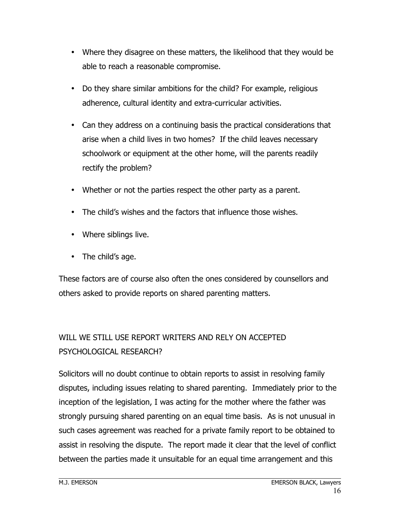- Where they disagree on these matters, the likelihood that they would be able to reach a reasonable compromise.
- Do they share similar ambitions for the child? For example, religious adherence, cultural identity and extra-curricular activities.
- Can they address on a continuing basis the practical considerations that arise when a child lives in two homes? If the child leaves necessary schoolwork or equipment at the other home, will the parents readily rectify the problem?
- Whether or not the parties respect the other party as a parent.
- The child's wishes and the factors that influence those wishes.
- Where siblings live.
- The child's age.

These factors are of course also often the ones considered by counsellors and others asked to provide reports on shared parenting matters.

# WILL WE STILL USE REPORT WRITERS AND RELY ON ACCEPTED PSYCHOLOGICAL RESEARCH?

Solicitors will no doubt continue to obtain reports to assist in resolving family disputes, including issues relating to shared parenting. Immediately prior to the inception of the legislation, I was acting for the mother where the father was strongly pursuing shared parenting on an equal time basis. As is not unusual in such cases agreement was reached for a private family report to be obtained to assist in resolving the dispute. The report made it clear that the level of conflict between the parties made it unsuitable for an equal time arrangement and this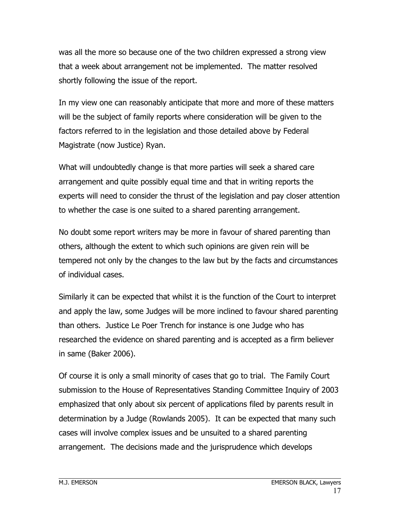was all the more so because one of the two children expressed a strong view that a week about arrangement not be implemented. The matter resolved shortly following the issue of the report.

In my view one can reasonably anticipate that more and more of these matters will be the subject of family reports where consideration will be given to the factors referred to in the legislation and those detailed above by Federal Magistrate (now Justice) Ryan.

What will undoubtedly change is that more parties will seek a shared care arrangement and quite possibly equal time and that in writing reports the experts will need to consider the thrust of the legislation and pay closer attention to whether the case is one suited to a shared parenting arrangement.

No doubt some report writers may be more in favour of shared parenting than others, although the extent to which such opinions are given rein will be tempered not only by the changes to the law but by the facts and circumstances of individual cases.

Similarly it can be expected that whilst it is the function of the Court to interpret and apply the law, some Judges will be more inclined to favour shared parenting than others. Justice Le Poer Trench for instance is one Judge who has researched the evidence on shared parenting and is accepted as a firm believer in same (Baker 2006).

Of course it is only a small minority of cases that go to trial. The Family Court submission to the House of Representatives Standing Committee Inquiry of 2003 emphasized that only about six percent of applications filed by parents result in determination by a Judge (Rowlands 2005). It can be expected that many such cases will involve complex issues and be unsuited to a shared parenting arrangement. The decisions made and the jurisprudence which develops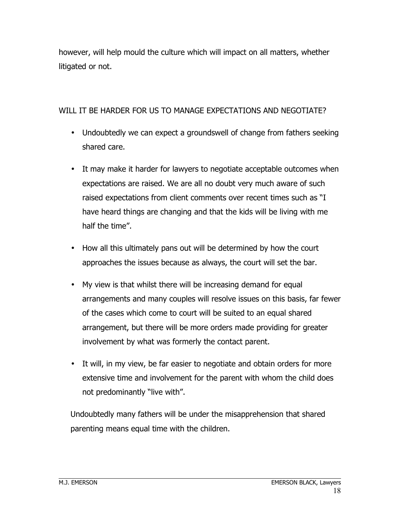however, will help mould the culture which will impact on all matters, whether litigated or not.

#### WILL IT BE HARDER FOR US TO MANAGE EXPECTATIONS AND NEGOTIATE?

- Undoubtedly we can expect a groundswell of change from fathers seeking shared care.
- It may make it harder for lawyers to negotiate acceptable outcomes when expectations are raised. We are all no doubt very much aware of such raised expectations from client comments over recent times such as "I have heard things are changing and that the kids will be living with me half the time".
- How all this ultimately pans out will be determined by how the court approaches the issues because as always, the court will set the bar.
- My view is that whilst there will be increasing demand for equal arrangements and many couples will resolve issues on this basis, far fewer of the cases which come to court will be suited to an equal shared arrangement, but there will be more orders made providing for greater involvement by what was formerly the contact parent.
- It will, in my view, be far easier to negotiate and obtain orders for more extensive time and involvement for the parent with whom the child does not predominantly "live with".

Undoubtedly many fathers will be under the misapprehension that shared parenting means equal time with the children.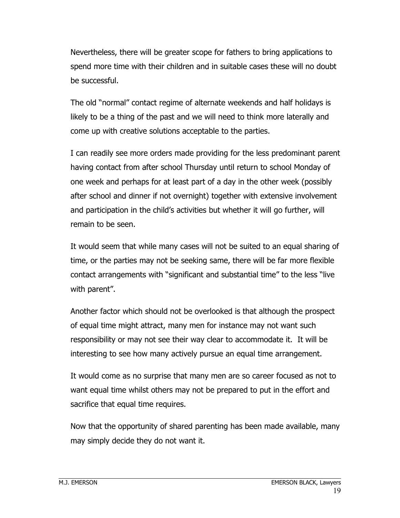Nevertheless, there will be greater scope for fathers to bring applications to spend more time with their children and in suitable cases these will no doubt be successful.

The old "normal" contact regime of alternate weekends and half holidays is likely to be a thing of the past and we will need to think more laterally and come up with creative solutions acceptable to the parties.

I can readily see more orders made providing for the less predominant parent having contact from after school Thursday until return to school Monday of one week and perhaps for at least part of a day in the other week (possibly after school and dinner if not overnight) together with extensive involvement and participation in the child's activities but whether it will go further, will remain to be seen.

It would seem that while many cases will not be suited to an equal sharing of time, or the parties may not be seeking same, there will be far more flexible contact arrangements with "significant and substantial time" to the less "live with parent".

Another factor which should not be overlooked is that although the prospect of equal time might attract, many men for instance may not want such responsibility or may not see their way clear to accommodate it. It will be interesting to see how many actively pursue an equal time arrangement.

It would come as no surprise that many men are so career focused as not to want equal time whilst others may not be prepared to put in the effort and sacrifice that equal time requires.

Now that the opportunity of shared parenting has been made available, many may simply decide they do not want it.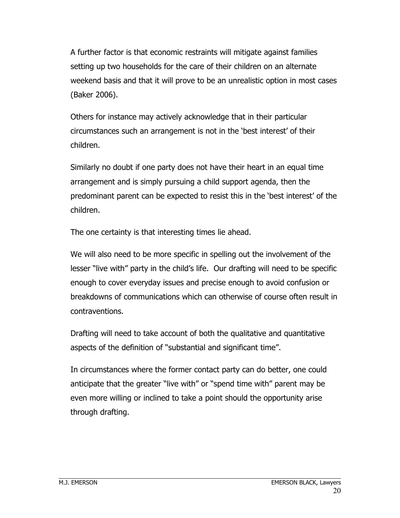A further factor is that economic restraints will mitigate against families setting up two households for the care of their children on an alternate weekend basis and that it will prove to be an unrealistic option in most cases (Baker 2006).

Others for instance may actively acknowledge that in their particular circumstances such an arrangement is not in the 'best interest' of their children.

Similarly no doubt if one party does not have their heart in an equal time arrangement and is simply pursuing a child support agenda, then the predominant parent can be expected to resist this in the 'best interest' of the children.

The one certainty is that interesting times lie ahead.

We will also need to be more specific in spelling out the involvement of the lesser "live with" party in the child's life. Our drafting will need to be specific enough to cover everyday issues and precise enough to avoid confusion or breakdowns of communications which can otherwise of course often result in contraventions.

Drafting will need to take account of both the qualitative and quantitative aspects of the definition of "substantial and significant time".

In circumstances where the former contact party can do better, one could anticipate that the greater "live with" or "spend time with" parent may be even more willing or inclined to take a point should the opportunity arise through drafting.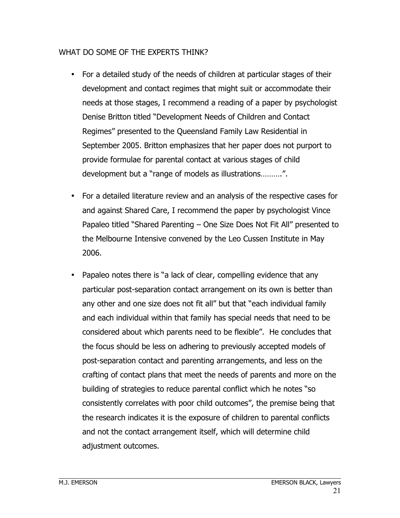#### WHAT DO SOME OF THE EXPERTS THINK?

- For a detailed study of the needs of children at particular stages of their development and contact regimes that might suit or accommodate their needs at those stages, I recommend a reading of a paper by psychologist Denise Britton titled "Development Needs of Children and Contact Regimes" presented to the Queensland Family Law Residential in September 2005. Britton emphasizes that her paper does not purport to provide formulae for parental contact at various stages of child development but a "range of models as illustrations……….".
- For a detailed literature review and an analysis of the respective cases for and against Shared Care, I recommend the paper by psychologist Vince Papaleo titled "Shared Parenting – One Size Does Not Fit All" presented to the Melbourne Intensive convened by the Leo Cussen Institute in May 2006.
- Papaleo notes there is "a lack of clear, compelling evidence that any particular post-separation contact arrangement on its own is better than any other and one size does not fit all" but that "each individual family and each individual within that family has special needs that need to be considered about which parents need to be flexible". He concludes that the focus should be less on adhering to previously accepted models of post-separation contact and parenting arrangements, and less on the crafting of contact plans that meet the needs of parents and more on the building of strategies to reduce parental conflict which he notes "so consistently correlates with poor child outcomes", the premise being that the research indicates it is the exposure of children to parental conflicts and not the contact arrangement itself, which will determine child adjustment outcomes.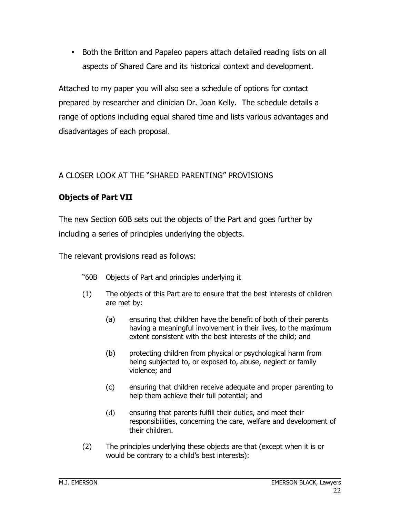• Both the Britton and Papaleo papers attach detailed reading lists on all aspects of Shared Care and its historical context and development.

Attached to my paper you will also see a schedule of options for contact prepared by researcher and clinician Dr. Joan Kelly. The schedule details a range of options including equal shared time and lists various advantages and disadvantages of each proposal.

### A CLOSER LOOK AT THE "SHARED PARENTING" PROVISIONS

# **Objects of Part VII**

The new Section 60B sets out the objects of the Part and goes further by including a series of principles underlying the objects.

The relevant provisions read as follows:

- "60B Objects of Part and principles underlying it
- (1) The objects of this Part are to ensure that the best interests of children are met by:
	- (a) ensuring that children have the benefit of both of their parents having a meaningful involvement in their lives, to the maximum extent consistent with the best interests of the child; and
	- (b) protecting children from physical or psychological harm from being subjected to, or exposed to, abuse, neglect or family violence; and
	- (c) ensuring that children receive adequate and proper parenting to help them achieve their full potential; and
	- (d) ensuring that parents fulfill their duties, and meet their responsibilities, concerning the care, welfare and development of their children.
- (2) The principles underlying these objects are that (except when it is or would be contrary to a child's best interests):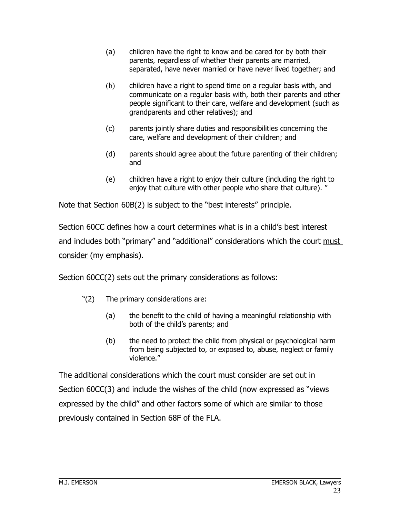- (a) children have the right to know and be cared for by both their parents, regardless of whether their parents are married, separated, have never married or have never lived together; and
- (b) children have a right to spend time on a regular basis with, and communicate on a regular basis with, both their parents and other people significant to their care, welfare and development (such as grandparents and other relatives); and
- (c) parents jointly share duties and responsibilities concerning the care, welfare and development of their children; and
- (d) parents should agree about the future parenting of their children; and
- (e) children have a right to enjoy their culture (including the right to enjoy that culture with other people who share that culture). "

Note that Section 60B(2) is subject to the "best interests" principle.

Section 60CC defines how a court determines what is in a child's best interest and includes both "primary" and "additional" considerations which the court must consider (my emphasis).

Section 60CC(2) sets out the primary considerations as follows:

- "(2) The primary considerations are:
	- (a) the benefit to the child of having a meaningful relationship with both of the child's parents; and
	- (b) the need to protect the child from physical or psychological harm from being subjected to, or exposed to, abuse, neglect or family violence."

The additional considerations which the court must consider are set out in Section 60CC(3) and include the wishes of the child (now expressed as "views expressed by the child" and other factors some of which are similar to those previously contained in Section 68F of the FLA.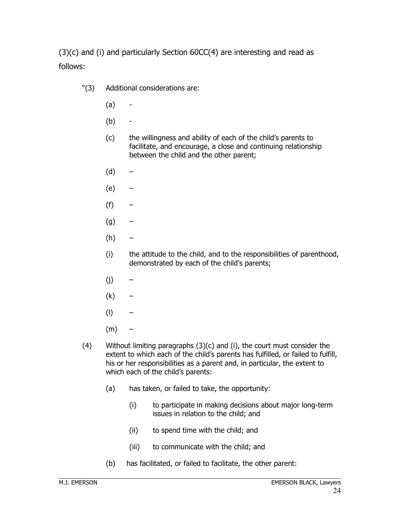(3)(c) and (i) and particularly Section 60CC(4) are interesting and read as follows:

- "(3) Additional considerations are:
	- $(a) -$
	- (b) -
	- (c) the willingness and ability of each of the child's parents to facilitate, and encourage, a close and continuing relationship between the child and the other parent;
	- (d) –
	- (e) –
	- $(f)$  –
	- $(g)$  –
	- (h) –
	- (i) the attitude to the child, and to the responsibilities of parenthood, demonstrated by each of the child's parents;
	- $(i)$  –
	- $(k)$  –
	- $\left(\mathsf{I}\right)$  –
	- $(m)$  –
- (4) Without limiting paragraphs (3)(c) and (i), the court must consider the extent to which each of the child's parents has fulfilled, or failed to fulfill, his or her responsibilities as a parent and, in particular, the extent to which each of the child's parents:
	- (a) has taken, or failed to take, the opportunity:
		- (i) to participate in making decisions about major long-term issues in relation to the child; and
		- (ii) to spend time with the child; and
		- (iii) to communicate with the child; and
	- (b) has facilitated, or failed to facilitate, the other parent: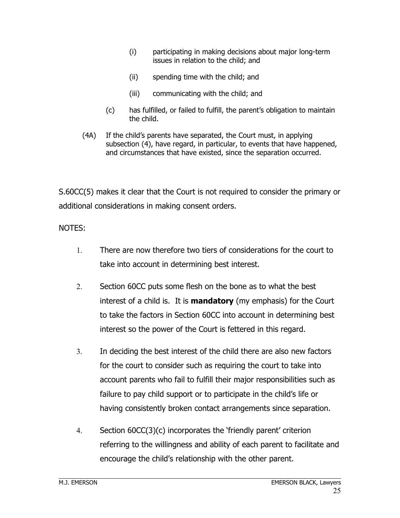- (i) participating in making decisions about major long-term issues in relation to the child; and
- (ii) spending time with the child; and
- (iii) communicating with the child; and
- (c) has fulfilled, or failed to fulfill, the parent's obligation to maintain the child.
- (4A) If the child's parents have separated, the Court must, in applying subsection (4), have regard, in particular, to events that have happened, and circumstances that have existed, since the separation occurred.

S.60CC(5) makes it clear that the Court is not required to consider the primary or additional considerations in making consent orders.

#### NOTES:

- 1. There are now therefore two tiers of considerations for the court to take into account in determining best interest.
- 2. Section 60CC puts some flesh on the bone as to what the best interest of a child is. It is **mandatory** (my emphasis) for the Court to take the factors in Section 60CC into account in determining best interest so the power of the Court is fettered in this regard.
- 3. In deciding the best interest of the child there are also new factors for the court to consider such as requiring the court to take into account parents who fail to fulfill their major responsibilities such as failure to pay child support or to participate in the child's life or having consistently broken contact arrangements since separation.
- 4. Section 60CC(3)(c) incorporates the 'friendly parent' criterion referring to the willingness and ability of each parent to facilitate and encourage the child's relationship with the other parent.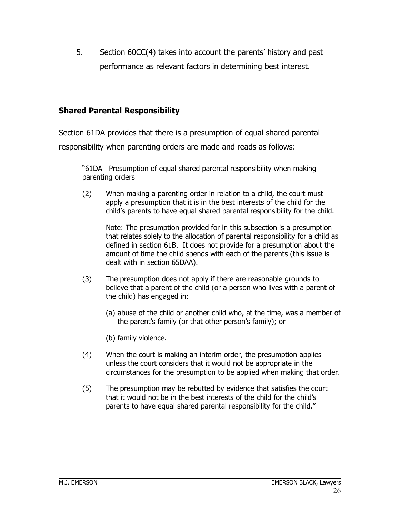5. Section 60CC(4) takes into account the parents' history and past performance as relevant factors in determining best interest.

#### **Shared Parental Responsibility**

Section 61DA provides that there is a presumption of equal shared parental

responsibility when parenting orders are made and reads as follows:

"61DA Presumption of equal shared parental responsibility when making parenting orders

(2) When making a parenting order in relation to a child, the court must apply a presumption that it is in the best interests of the child for the child's parents to have equal shared parental responsibility for the child.

Note: The presumption provided for in this subsection is a presumption that relates solely to the allocation of parental responsibility for a child as defined in section 61B. It does not provide for a presumption about the amount of time the child spends with each of the parents (this issue is dealt with in section 65DAA).

- (3) The presumption does not apply if there are reasonable grounds to believe that a parent of the child (or a person who lives with a parent of the child) has engaged in:
	- (a) abuse of the child or another child who, at the time, was a member of the parent's family (or that other person's family); or
	- (b) family violence.
- (4) When the court is making an interim order, the presumption applies unless the court considers that it would not be appropriate in the circumstances for the presumption to be applied when making that order.
- (5) The presumption may be rebutted by evidence that satisfies the court that it would not be in the best interests of the child for the child's parents to have equal shared parental responsibility for the child."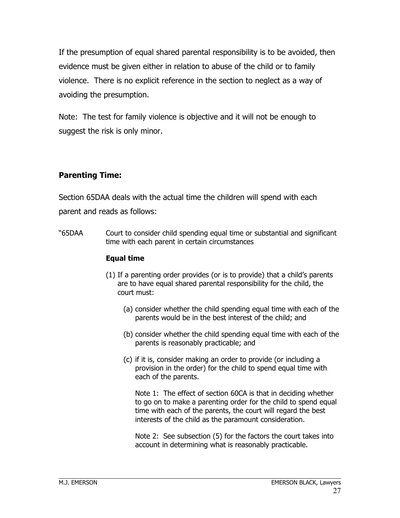If the presumption of equal shared parental responsibility is to be avoided, then evidence must be given either in relation to abuse of the child or to family violence. There is no explicit reference in the section to neglect as a way of avoiding the presumption.

Note: The test for family violence is objective and it will not be enough to suggest the risk is only minor.

#### **Parenting Time:**

Section 65DAA deals with the actual time the children will spend with each parent and reads as follows:

"65DAA Court to consider child spending equal time or substantial and significant time with each parent in certain circumstances

#### **Equal time**

- (1) If a parenting order provides (or is to provide) that a child's parents are to have equal shared parental responsibility for the child, the court must:
	- (a) consider whether the child spending equal time with each of the parents would be in the best interest of the child; and
	- (b) consider whether the child spending equal time with each of the parents is reasonably practicable; and
	- (c) if it is, consider making an order to provide (or including a provision in the order) for the child to spend equal time with each of the parents.

Note 1: The effect of section 60CA is that in deciding whether to go on to make a parenting order for the child to spend equal time with each of the parents, the court will regard the best interests of the child as the paramount consideration.

Note 2: See subsection (5) for the factors the court takes into account in determining what is reasonably practicable.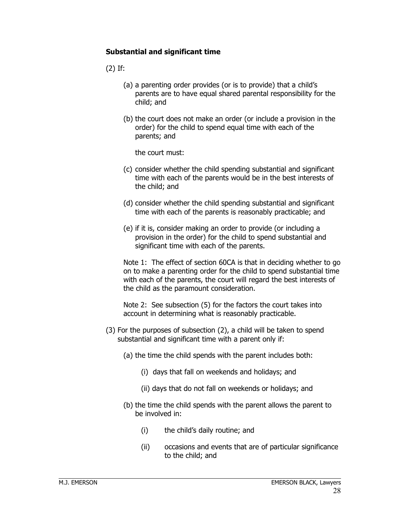#### **Substantial and significant time**

(2) If:

- (a) a parenting order provides (or is to provide) that a child's parents are to have equal shared parental responsibility for the child; and
- (b) the court does not make an order (or include a provision in the order) for the child to spend equal time with each of the parents; and

the court must:

- (c) consider whether the child spending substantial and significant time with each of the parents would be in the best interests of the child; and
- (d) consider whether the child spending substantial and significant time with each of the parents is reasonably practicable; and
- (e) if it is, consider making an order to provide (or including a provision in the order) for the child to spend substantial and significant time with each of the parents.

Note 1: The effect of section 60CA is that in deciding whether to go on to make a parenting order for the child to spend substantial time with each of the parents, the court will regard the best interests of the child as the paramount consideration.

Note 2: See subsection (5) for the factors the court takes into account in determining what is reasonably practicable.

- (3) For the purposes of subsection (2), a child will be taken to spend substantial and significant time with a parent only if:
	- (a) the time the child spends with the parent includes both:
		- (i) days that fall on weekends and holidays; and
		- (ii) days that do not fall on weekends or holidays; and
	- (b) the time the child spends with the parent allows the parent to be involved in:
		- (i) the child's daily routine; and
		- (ii) occasions and events that are of particular significance to the child; and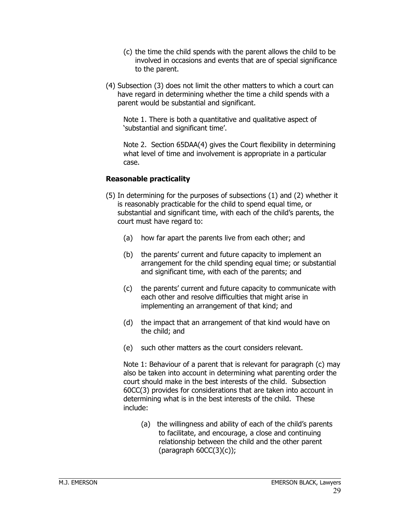- (c) the time the child spends with the parent allows the child to be involved in occasions and events that are of special significance to the parent.
- (4) Subsection (3) does not limit the other matters to which a court can have regard in determining whether the time a child spends with a parent would be substantial and significant.

Note 1. There is both a quantitative and qualitative aspect of 'substantial and significant time'.

Note 2. Section 65DAA(4) gives the Court flexibility in determining what level of time and involvement is appropriate in a particular case.

#### **Reasonable practicality**

- (5) In determining for the purposes of subsections (1) and (2) whether it is reasonably practicable for the child to spend equal time, or substantial and significant time, with each of the child's parents, the court must have regard to:
	- (a) how far apart the parents live from each other; and
	- (b) the parents' current and future capacity to implement an arrangement for the child spending equal time; or substantial and significant time, with each of the parents; and
	- (c) the parents' current and future capacity to communicate with each other and resolve difficulties that might arise in implementing an arrangement of that kind; and
	- (d) the impact that an arrangement of that kind would have on the child; and
	- (e) such other matters as the court considers relevant.

Note 1: Behaviour of a parent that is relevant for paragraph (c) may also be taken into account in determining what parenting order the court should make in the best interests of the child. Subsection 60CC(3) provides for considerations that are taken into account in determining what is in the best interests of the child. These include:

(a) the willingness and ability of each of the child's parents to facilitate, and encourage, a close and continuing relationship between the child and the other parent  $(parentoph 60CC(3)(c))$ ;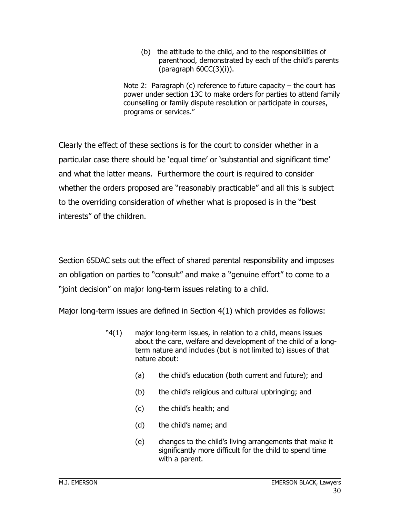(b) the attitude to the child, and to the responsibilities of parenthood, demonstrated by each of the child's parents  $(parentoph 60CC(3)(i)).$ 

Note 2: Paragraph (c) reference to future capacity  $-$  the court has power under section 13C to make orders for parties to attend family counselling or family dispute resolution or participate in courses, programs or services."

Clearly the effect of these sections is for the court to consider whether in a particular case there should be 'equal time' or 'substantial and significant time' and what the latter means. Furthermore the court is required to consider whether the orders proposed are "reasonably practicable" and all this is subject to the overriding consideration of whether what is proposed is in the "best interests" of the children.

Section 65DAC sets out the effect of shared parental responsibility and imposes an obligation on parties to "consult" and make a "genuine effort" to come to a "joint decision" on major long-term issues relating to a child.

Major long-term issues are defined in Section 4(1) which provides as follows:

- "4(1) major long-term issues, in relation to a child, means issues about the care, welfare and development of the child of a longterm nature and includes (but is not limited to) issues of that nature about:
	- (a) the child's education (both current and future); and
	- (b) the child's religious and cultural upbringing; and
	- (c) the child's health; and
	- (d) the child's name; and
	- (e) changes to the child's living arrangements that make it significantly more difficult for the child to spend time with a parent.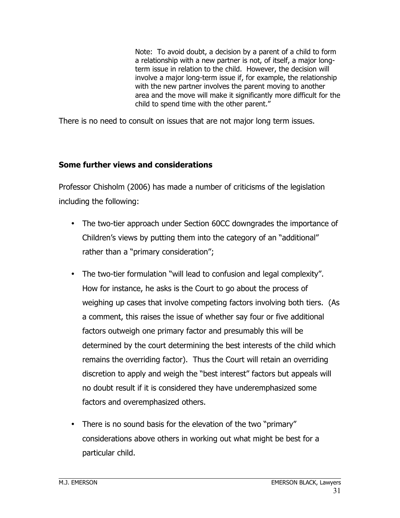Note: To avoid doubt, a decision by a parent of a child to form a relationship with a new partner is not, of itself, a major longterm issue in relation to the child. However, the decision will involve a major long-term issue if, for example, the relationship with the new partner involves the parent moving to another area and the move will make it significantly more difficult for the child to spend time with the other parent."

There is no need to consult on issues that are not major long term issues.

#### **Some further views and considerations**

Professor Chisholm (2006) has made a number of criticisms of the legislation including the following:

- The two-tier approach under Section 60CC downgrades the importance of Children's views by putting them into the category of an "additional" rather than a "primary consideration";
- The two-tier formulation "will lead to confusion and legal complexity". How for instance, he asks is the Court to go about the process of weighing up cases that involve competing factors involving both tiers. (As a comment, this raises the issue of whether say four or five additional factors outweigh one primary factor and presumably this will be determined by the court determining the best interests of the child which remains the overriding factor). Thus the Court will retain an overriding discretion to apply and weigh the "best interest" factors but appeals will no doubt result if it is considered they have underemphasized some factors and overemphasized others.
- There is no sound basis for the elevation of the two "primary" considerations above others in working out what might be best for a particular child.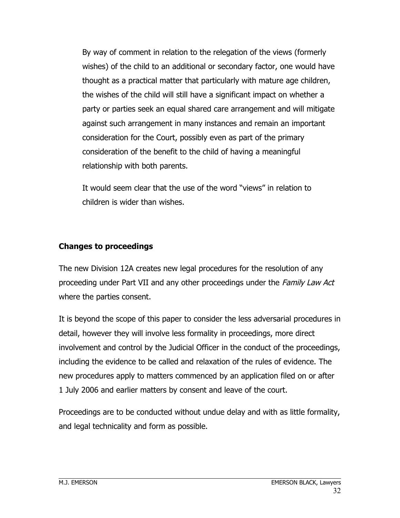By way of comment in relation to the relegation of the views (formerly wishes) of the child to an additional or secondary factor, one would have thought as a practical matter that particularly with mature age children, the wishes of the child will still have a significant impact on whether a party or parties seek an equal shared care arrangement and will mitigate against such arrangement in many instances and remain an important consideration for the Court, possibly even as part of the primary consideration of the benefit to the child of having a meaningful relationship with both parents.

It would seem clear that the use of the word "views" in relation to children is wider than wishes.

#### **Changes to proceedings**

The new Division 12A creates new legal procedures for the resolution of any proceeding under Part VII and any other proceedings under the Family Law Act where the parties consent.

It is beyond the scope of this paper to consider the less adversarial procedures in detail, however they will involve less formality in proceedings, more direct involvement and control by the Judicial Officer in the conduct of the proceedings, including the evidence to be called and relaxation of the rules of evidence. The new procedures apply to matters commenced by an application filed on or after 1 July 2006 and earlier matters by consent and leave of the court.

Proceedings are to be conducted without undue delay and with as little formality, and legal technicality and form as possible.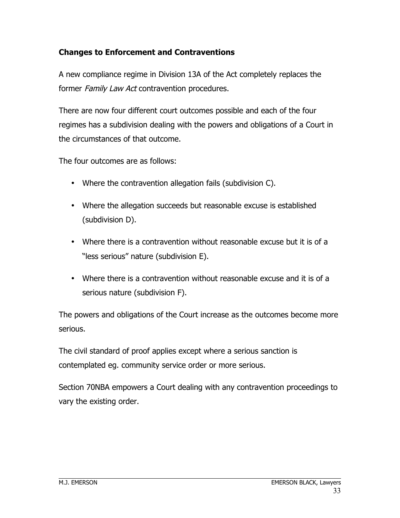#### **Changes to Enforcement and Contraventions**

A new compliance regime in Division 13A of the Act completely replaces the former Family Law Act contravention procedures.

There are now four different court outcomes possible and each of the four regimes has a subdivision dealing with the powers and obligations of a Court in the circumstances of that outcome.

The four outcomes are as follows:

- Where the contravention allegation fails (subdivision C).
- Where the allegation succeeds but reasonable excuse is established (subdivision D).
- Where there is a contravention without reasonable excuse but it is of a "less serious" nature (subdivision E).
- Where there is a contravention without reasonable excuse and it is of a serious nature (subdivision F).

The powers and obligations of the Court increase as the outcomes become more serious.

The civil standard of proof applies except where a serious sanction is contemplated eg. community service order or more serious.

Section 70NBA empowers a Court dealing with any contravention proceedings to vary the existing order.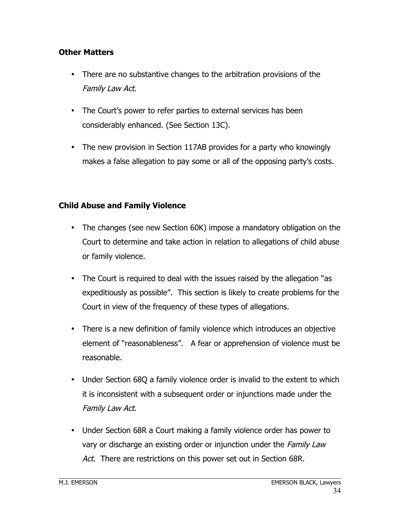#### **Other Matters**

- There are no substantive changes to the arbitration provisions of the Family Law Act.
- The Court's power to refer parties to external services has been considerably enhanced. (See Section 13C).
- The new provision in Section 117AB provides for a party who knowingly makes a false allegation to pay some or all of the opposing party's costs.

#### **Child Abuse and Family Violence**

- The changes (see new Section 60K) impose a mandatory obligation on the Court to determine and take action in relation to allegations of child abuse or family violence.
- The Court is required to deal with the issues raised by the allegation "as expeditiously as possible". This section is likely to create problems for the Court in view of the frequency of these types of allegations.
- There is a new definition of family violence which introduces an objective element of "reasonableness". A fear or apprehension of violence must be reasonable.
- Under Section 68Q a family violence order is invalid to the extent to which it is inconsistent with a subsequent order or injunctions made under the Family Law Act.
- Under Section 68R a Court making a family violence order has power to vary or discharge an existing order or injunction under the *Family Law* Act. There are restrictions on this power set out in Section 68R.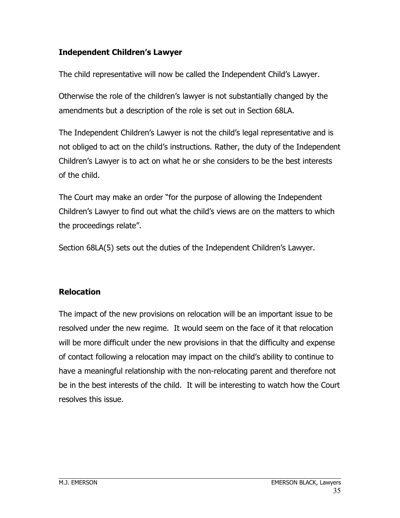#### **Independent Children's Lawyer**

The child representative will now be called the Independent Child's Lawyer.

Otherwise the role of the children's lawyer is not substantially changed by the amendments but a description of the role is set out in Section 68LA.

The Independent Children's Lawyer is not the child's legal representative and is not obliged to act on the child's instructions. Rather, the duty of the Independent Children's Lawyer is to act on what he or she considers to be the best interests of the child.

The Court may make an order "for the purpose of allowing the Independent Children's Lawyer to find out what the child's views are on the matters to which the proceedings relate".

Section 68LA(5) sets out the duties of the Independent Children's Lawyer.

#### **Relocation**

The impact of the new provisions on relocation will be an important issue to be resolved under the new regime. It would seem on the face of it that relocation will be more difficult under the new provisions in that the difficulty and expense of contact following a relocation may impact on the child's ability to continue to have a meaningful relationship with the non-relocating parent and therefore not be in the best interests of the child. It will be interesting to watch how the Court resolves this issue.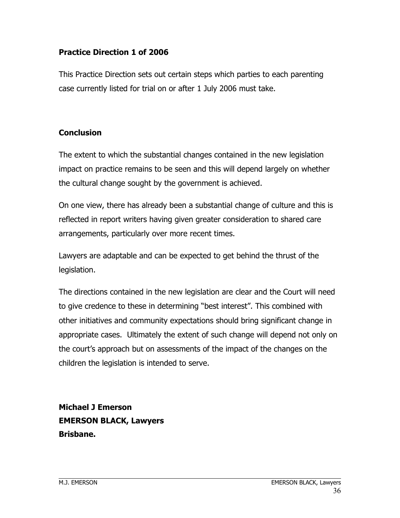#### **Practice Direction 1 of 2006**

This Practice Direction sets out certain steps which parties to each parenting case currently listed for trial on or after 1 July 2006 must take.

#### **Conclusion**

The extent to which the substantial changes contained in the new legislation impact on practice remains to be seen and this will depend largely on whether the cultural change sought by the government is achieved.

On one view, there has already been a substantial change of culture and this is reflected in report writers having given greater consideration to shared care arrangements, particularly over more recent times.

Lawyers are adaptable and can be expected to get behind the thrust of the legislation.

The directions contained in the new legislation are clear and the Court will need to give credence to these in determining "best interest". This combined with other initiatives and community expectations should bring significant change in appropriate cases. Ultimately the extent of such change will depend not only on the court's approach but on assessments of the impact of the changes on the children the legislation is intended to serve.

**Michael J Emerson EMERSON BLACK, Lawyers Brisbane.**